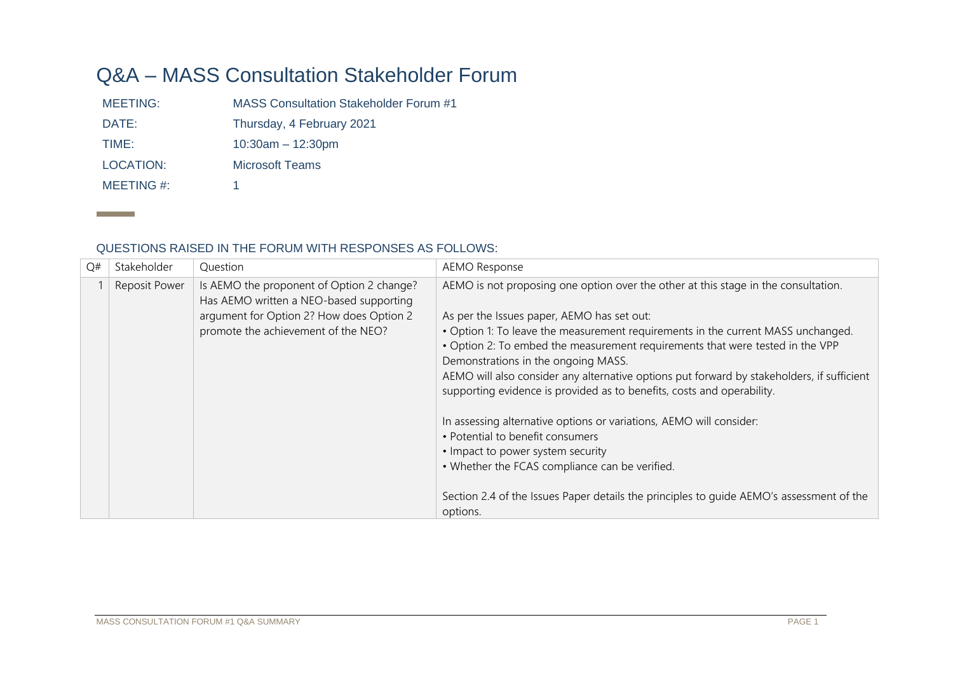## Q&A – MASS Consultation Stakeholder Forum

MEETING: MASS Consultation Stakeholder Forum #1 DATE: Thursday, 4 February 2021 TIME: 10:30am – 12:30pm LOCATION: Microsoft Teams MEETING #: 1

## QUESTIONS RAISED IN THE FORUM WITH RESPONSES AS FOLLOWS:

| Q# | Stakeholder          | Question                                                                             | <b>AEMO Response</b>                                                                       |
|----|----------------------|--------------------------------------------------------------------------------------|--------------------------------------------------------------------------------------------|
|    | <b>Reposit Power</b> | Is AEMO the proponent of Option 2 change?<br>Has AEMO written a NEO-based supporting | AEMO is not proposing one option over the other at this stage in the consultation.         |
|    |                      | argument for Option 2? How does Option 2                                             | As per the Issues paper, AEMO has set out:                                                 |
|    |                      | promote the achievement of the NEO?                                                  | • Option 1: To leave the measurement requirements in the current MASS unchanged.           |
|    |                      |                                                                                      | . Option 2: To embed the measurement requirements that were tested in the VPP              |
|    |                      |                                                                                      | Demonstrations in the ongoing MASS.                                                        |
|    |                      |                                                                                      | AEMO will also consider any alternative options put forward by stakeholders, if sufficient |
|    |                      |                                                                                      | supporting evidence is provided as to benefits, costs and operability.                     |
|    |                      |                                                                                      |                                                                                            |
|    |                      |                                                                                      | In assessing alternative options or variations, AEMO will consider:                        |
|    |                      |                                                                                      | • Potential to benefit consumers                                                           |
|    |                      |                                                                                      | • Impact to power system security                                                          |
|    |                      |                                                                                      | • Whether the FCAS compliance can be verified.                                             |
|    |                      |                                                                                      |                                                                                            |
|    |                      |                                                                                      | Section 2.4 of the Issues Paper details the principles to quide AEMO's assessment of the   |
|    |                      |                                                                                      | options.                                                                                   |

**Contract Contract**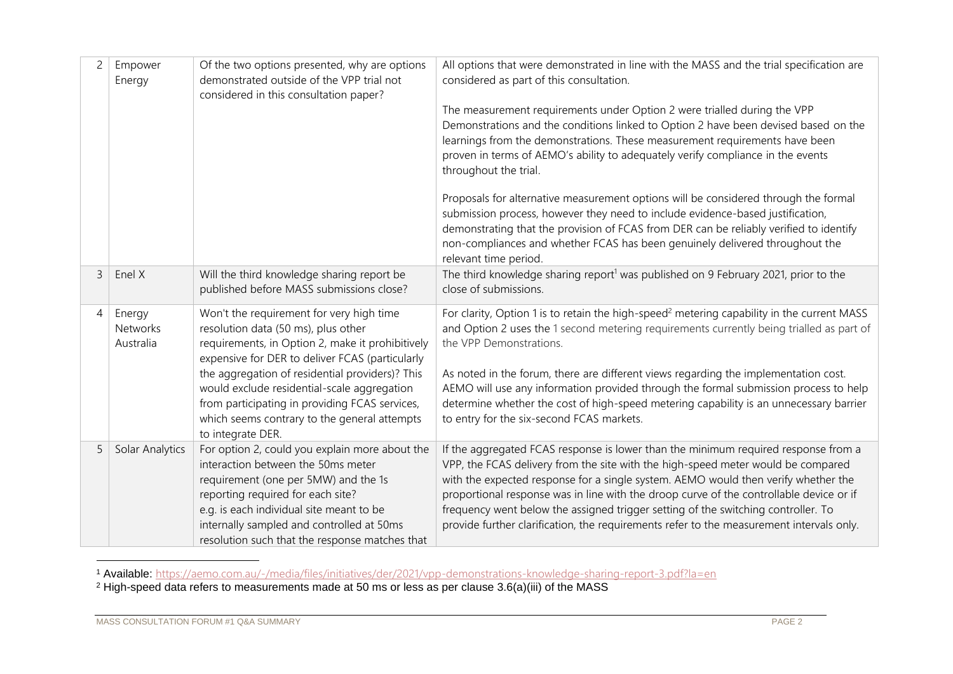| $\overline{c}$ | Empower<br>Energy                      | Of the two options presented, why are options<br>demonstrated outside of the VPP trial not<br>considered in this consultation paper?                                                                                                                                                                                                                                                                            | All options that were demonstrated in line with the MASS and the trial specification are<br>considered as part of this consultation.<br>The measurement requirements under Option 2 were trialled during the VPP<br>Demonstrations and the conditions linked to Option 2 have been devised based on the<br>learnings from the demonstrations. These measurement requirements have been<br>proven in terms of AEMO's ability to adequately verify compliance in the events<br>throughout the trial.<br>Proposals for alternative measurement options will be considered through the formal<br>submission process, however they need to include evidence-based justification,<br>demonstrating that the provision of FCAS from DER can be reliably verified to identify<br>non-compliances and whether FCAS has been genuinely delivered throughout the<br>relevant time period. |
|----------------|----------------------------------------|-----------------------------------------------------------------------------------------------------------------------------------------------------------------------------------------------------------------------------------------------------------------------------------------------------------------------------------------------------------------------------------------------------------------|--------------------------------------------------------------------------------------------------------------------------------------------------------------------------------------------------------------------------------------------------------------------------------------------------------------------------------------------------------------------------------------------------------------------------------------------------------------------------------------------------------------------------------------------------------------------------------------------------------------------------------------------------------------------------------------------------------------------------------------------------------------------------------------------------------------------------------------------------------------------------------|
| 3              | Enel X                                 | Will the third knowledge sharing report be<br>published before MASS submissions close?                                                                                                                                                                                                                                                                                                                          | The third knowledge sharing report <sup>1</sup> was published on 9 February 2021, prior to the<br>close of submissions.                                                                                                                                                                                                                                                                                                                                                                                                                                                                                                                                                                                                                                                                                                                                                        |
| 4              | Energy<br><b>Networks</b><br>Australia | Won't the requirement for very high time<br>resolution data (50 ms), plus other<br>requirements, in Option 2, make it prohibitively<br>expensive for DER to deliver FCAS (particularly<br>the aggregation of residential providers)? This<br>would exclude residential-scale aggregation<br>from participating in providing FCAS services,<br>which seems contrary to the general attempts<br>to integrate DER. | For clarity, Option 1 is to retain the high-speed <sup>2</sup> metering capability in the current MASS<br>and Option 2 uses the 1 second metering requirements currently being trialled as part of<br>the VPP Demonstrations.<br>As noted in the forum, there are different views regarding the implementation cost.<br>AEMO will use any information provided through the formal submission process to help<br>determine whether the cost of high-speed metering capability is an unnecessary barrier<br>to entry for the six-second FCAS markets.                                                                                                                                                                                                                                                                                                                            |
| 5              | Solar Analytics                        | For option 2, could you explain more about the<br>interaction between the 50ms meter<br>requirement (one per 5MW) and the 1s<br>reporting required for each site?<br>e.g. is each individual site meant to be<br>internally sampled and controlled at 50ms<br>resolution such that the response matches that                                                                                                    | If the aggregated FCAS response is lower than the minimum required response from a<br>VPP, the FCAS delivery from the site with the high-speed meter would be compared<br>with the expected response for a single system. AEMO would then verify whether the<br>proportional response was in line with the droop curve of the controllable device or if<br>frequency went below the assigned trigger setting of the switching controller. To<br>provide further clarification, the requirements refer to the measurement intervals only.                                                                                                                                                                                                                                                                                                                                       |

<sup>1</sup> Available: <https://aemo.com.au/-/media/files/initiatives/der/2021/vpp-demonstrations-knowledge-sharing-report-3.pdf?la=en>

 $^2$  High-speed data refers to measurements made at 50 ms or less as per clause 3.6(a)(iii) of the MASS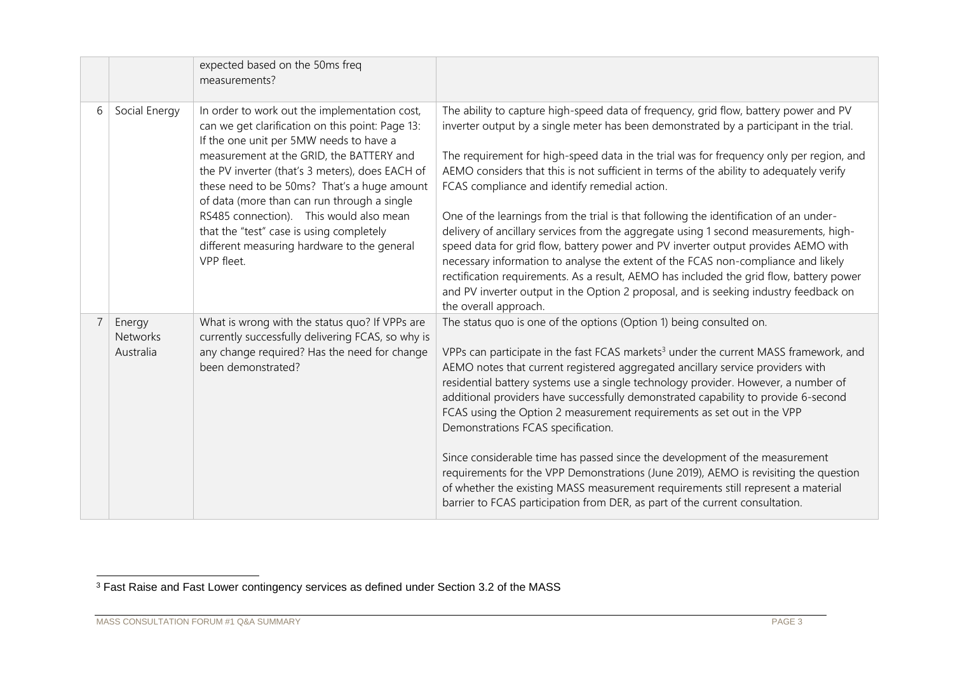|   |                                 | expected based on the 50ms freq<br>measurements?                                                                                                                                                                                                                                                                                                                                                                                                                                              |                                                                                                                                                                                                                                                                                                                                                                                                                                                                                                                                                                                                                                                                                                                                                                                                                                                                                                                                                                                              |
|---|---------------------------------|-----------------------------------------------------------------------------------------------------------------------------------------------------------------------------------------------------------------------------------------------------------------------------------------------------------------------------------------------------------------------------------------------------------------------------------------------------------------------------------------------|----------------------------------------------------------------------------------------------------------------------------------------------------------------------------------------------------------------------------------------------------------------------------------------------------------------------------------------------------------------------------------------------------------------------------------------------------------------------------------------------------------------------------------------------------------------------------------------------------------------------------------------------------------------------------------------------------------------------------------------------------------------------------------------------------------------------------------------------------------------------------------------------------------------------------------------------------------------------------------------------|
| 6 | Social Energy                   | In order to work out the implementation cost,<br>can we get clarification on this point: Page 13:<br>If the one unit per 5MW needs to have a<br>measurement at the GRID, the BATTERY and<br>the PV inverter (that's 3 meters), does EACH of<br>these need to be 50ms? That's a huge amount<br>of data (more than can run through a single<br>RS485 connection). This would also mean<br>that the "test" case is using completely<br>different measuring hardware to the general<br>VPP fleet. | The ability to capture high-speed data of frequency, grid flow, battery power and PV<br>inverter output by a single meter has been demonstrated by a participant in the trial.<br>The requirement for high-speed data in the trial was for frequency only per region, and<br>AEMO considers that this is not sufficient in terms of the ability to adequately verify<br>FCAS compliance and identify remedial action.<br>One of the learnings from the trial is that following the identification of an under-<br>delivery of ancillary services from the aggregate using 1 second measurements, high-<br>speed data for grid flow, battery power and PV inverter output provides AEMO with<br>necessary information to analyse the extent of the FCAS non-compliance and likely<br>rectification requirements. As a result, AEMO has included the grid flow, battery power<br>and PV inverter output in the Option 2 proposal, and is seeking industry feedback on<br>the overall approach. |
|   | Energy<br>Networks<br>Australia | What is wrong with the status quo? If VPPs are<br>currently successfully delivering FCAS, so why is<br>any change required? Has the need for change<br>been demonstrated?                                                                                                                                                                                                                                                                                                                     | The status quo is one of the options (Option 1) being consulted on.<br>VPPs can participate in the fast FCAS markets <sup>3</sup> under the current MASS framework, and<br>AEMO notes that current registered aggregated ancillary service providers with<br>residential battery systems use a single technology provider. However, a number of<br>additional providers have successfully demonstrated capability to provide 6-second<br>FCAS using the Option 2 measurement requirements as set out in the VPP<br>Demonstrations FCAS specification.<br>Since considerable time has passed since the development of the measurement<br>requirements for the VPP Demonstrations (June 2019), AEMO is revisiting the question<br>of whether the existing MASS measurement requirements still represent a material<br>barrier to FCAS participation from DER, as part of the current consultation.                                                                                             |

<sup>&</sup>lt;sup>3</sup> Fast Raise and Fast Lower contingency services as defined under Section 3.2 of the MASS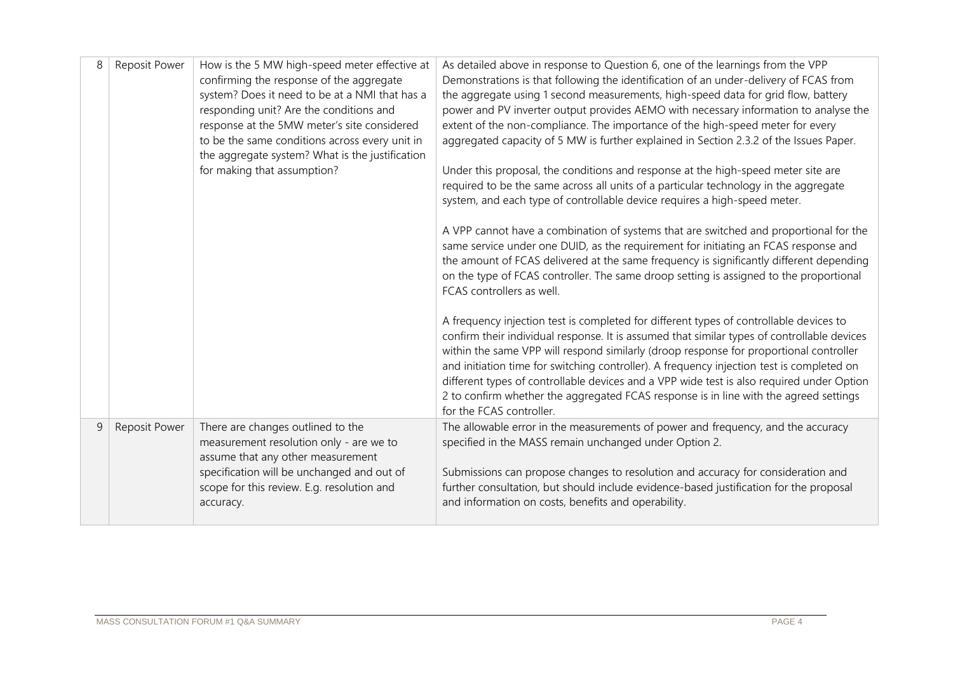| 8 | Reposit Power | How is the 5 MW high-speed meter effective at<br>confirming the response of the aggregate<br>system? Does it need to be at a NMI that has a<br>responding unit? Are the conditions and<br>response at the 5MW meter's site considered<br>to be the same conditions across every unit in<br>the aggregate system? What is the justification<br>for making that assumption? | As detailed above in response to Question 6, one of the learnings from the VPP<br>Demonstrations is that following the identification of an under-delivery of FCAS from<br>the aggregate using 1 second measurements, high-speed data for grid flow, battery<br>power and PV inverter output provides AEMO with necessary information to analyse the<br>extent of the non-compliance. The importance of the high-speed meter for every<br>aggregated capacity of 5 MW is further explained in Section 2.3.2 of the Issues Paper.<br>Under this proposal, the conditions and response at the high-speed meter site are<br>required to be the same across all units of a particular technology in the aggregate<br>system, and each type of controllable device requires a high-speed meter.<br>A VPP cannot have a combination of systems that are switched and proportional for the<br>same service under one DUID, as the requirement for initiating an FCAS response and<br>the amount of FCAS delivered at the same frequency is significantly different depending<br>on the type of FCAS controller. The same droop setting is assigned to the proportional<br>FCAS controllers as well.<br>A frequency injection test is completed for different types of controllable devices to<br>confirm their individual response. It is assumed that similar types of controllable devices<br>within the same VPP will respond similarly (droop response for proportional controller<br>and initiation time for switching controller). A frequency injection test is completed on |
|---|---------------|---------------------------------------------------------------------------------------------------------------------------------------------------------------------------------------------------------------------------------------------------------------------------------------------------------------------------------------------------------------------------|------------------------------------------------------------------------------------------------------------------------------------------------------------------------------------------------------------------------------------------------------------------------------------------------------------------------------------------------------------------------------------------------------------------------------------------------------------------------------------------------------------------------------------------------------------------------------------------------------------------------------------------------------------------------------------------------------------------------------------------------------------------------------------------------------------------------------------------------------------------------------------------------------------------------------------------------------------------------------------------------------------------------------------------------------------------------------------------------------------------------------------------------------------------------------------------------------------------------------------------------------------------------------------------------------------------------------------------------------------------------------------------------------------------------------------------------------------------------------------------------------------------------------------------------------------------------------|
|   |               |                                                                                                                                                                                                                                                                                                                                                                           | different types of controllable devices and a VPP wide test is also required under Option<br>2 to confirm whether the aggregated FCAS response is in line with the agreed settings<br>for the FCAS controller.                                                                                                                                                                                                                                                                                                                                                                                                                                                                                                                                                                                                                                                                                                                                                                                                                                                                                                                                                                                                                                                                                                                                                                                                                                                                                                                                                               |
| 9 | Reposit Power | There are changes outlined to the<br>measurement resolution only - are we to<br>assume that any other measurement                                                                                                                                                                                                                                                         | The allowable error in the measurements of power and frequency, and the accuracy<br>specified in the MASS remain unchanged under Option 2.                                                                                                                                                                                                                                                                                                                                                                                                                                                                                                                                                                                                                                                                                                                                                                                                                                                                                                                                                                                                                                                                                                                                                                                                                                                                                                                                                                                                                                   |
|   |               | specification will be unchanged and out of<br>scope for this review. E.g. resolution and<br>accuracy.                                                                                                                                                                                                                                                                     | Submissions can propose changes to resolution and accuracy for consideration and<br>further consultation, but should include evidence-based justification for the proposal<br>and information on costs, benefits and operability.                                                                                                                                                                                                                                                                                                                                                                                                                                                                                                                                                                                                                                                                                                                                                                                                                                                                                                                                                                                                                                                                                                                                                                                                                                                                                                                                            |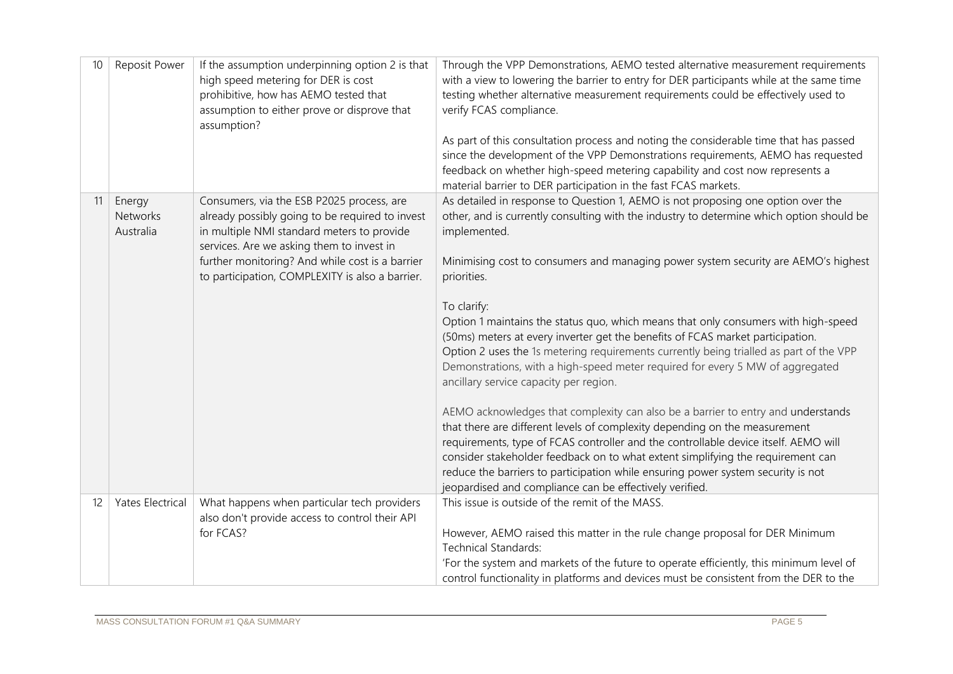| 10 | Reposit Power                          | If the assumption underpinning option 2 is that<br>high speed metering for DER is cost<br>prohibitive, how has AEMO tested that<br>assumption to either prove or disprove that<br>assumption?                                                                                                 | Through the VPP Demonstrations, AEMO tested alternative measurement requirements<br>with a view to lowering the barrier to entry for DER participants while at the same time<br>testing whether alternative measurement requirements could be effectively used to<br>verify FCAS compliance.<br>As part of this consultation process and noting the considerable time that has passed<br>since the development of the VPP Demonstrations requirements, AEMO has requested<br>feedback on whether high-speed metering capability and cost now represents a<br>material barrier to DER participation in the fast FCAS markets.                                                                                                                                                                                                                                                                                                                                                                                                                                                                                                                                                                             |
|----|----------------------------------------|-----------------------------------------------------------------------------------------------------------------------------------------------------------------------------------------------------------------------------------------------------------------------------------------------|----------------------------------------------------------------------------------------------------------------------------------------------------------------------------------------------------------------------------------------------------------------------------------------------------------------------------------------------------------------------------------------------------------------------------------------------------------------------------------------------------------------------------------------------------------------------------------------------------------------------------------------------------------------------------------------------------------------------------------------------------------------------------------------------------------------------------------------------------------------------------------------------------------------------------------------------------------------------------------------------------------------------------------------------------------------------------------------------------------------------------------------------------------------------------------------------------------|
| 11 | Energy<br><b>Networks</b><br>Australia | Consumers, via the ESB P2025 process, are<br>already possibly going to be required to invest<br>in multiple NMI standard meters to provide<br>services. Are we asking them to invest in<br>further monitoring? And while cost is a barrier<br>to participation, COMPLEXITY is also a barrier. | As detailed in response to Question 1, AEMO is not proposing one option over the<br>other, and is currently consulting with the industry to determine which option should be<br>implemented.<br>Minimising cost to consumers and managing power system security are AEMO's highest<br>priorities.<br>To clarify:<br>Option 1 maintains the status quo, which means that only consumers with high-speed<br>(50ms) meters at every inverter get the benefits of FCAS market participation.<br>Option 2 uses the 1s metering requirements currently being trialled as part of the VPP<br>Demonstrations, with a high-speed meter required for every 5 MW of aggregated<br>ancillary service capacity per region.<br>AEMO acknowledges that complexity can also be a barrier to entry and understands<br>that there are different levels of complexity depending on the measurement<br>requirements, type of FCAS controller and the controllable device itself. AEMO will<br>consider stakeholder feedback on to what extent simplifying the requirement can<br>reduce the barriers to participation while ensuring power system security is not<br>jeopardised and compliance can be effectively verified. |
| 12 | Yates Electrical                       | What happens when particular tech providers<br>also don't provide access to control their API<br>for FCAS?                                                                                                                                                                                    | This issue is outside of the remit of the MASS.<br>However, AEMO raised this matter in the rule change proposal for DER Minimum                                                                                                                                                                                                                                                                                                                                                                                                                                                                                                                                                                                                                                                                                                                                                                                                                                                                                                                                                                                                                                                                          |
|    |                                        |                                                                                                                                                                                                                                                                                               | <b>Technical Standards:</b>                                                                                                                                                                                                                                                                                                                                                                                                                                                                                                                                                                                                                                                                                                                                                                                                                                                                                                                                                                                                                                                                                                                                                                              |
|    |                                        |                                                                                                                                                                                                                                                                                               | 'For the system and markets of the future to operate efficiently, this minimum level of                                                                                                                                                                                                                                                                                                                                                                                                                                                                                                                                                                                                                                                                                                                                                                                                                                                                                                                                                                                                                                                                                                                  |
|    |                                        |                                                                                                                                                                                                                                                                                               | control functionality in platforms and devices must be consistent from the DER to the                                                                                                                                                                                                                                                                                                                                                                                                                                                                                                                                                                                                                                                                                                                                                                                                                                                                                                                                                                                                                                                                                                                    |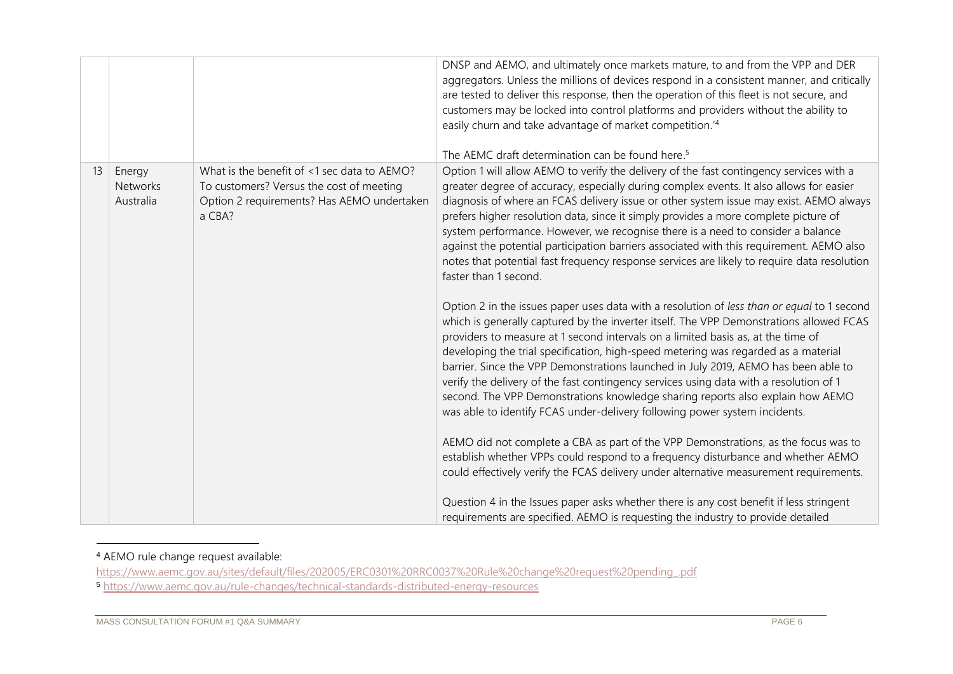|    |                           |                                                                                        | DNSP and AEMO, and ultimately once markets mature, to and from the VPP and DER<br>aggregators. Unless the millions of devices respond in a consistent manner, and critically<br>are tested to deliver this response, then the operation of this fleet is not secure, and<br>customers may be locked into control platforms and providers without the ability to<br>easily churn and take advantage of market competition. <sup>14</sup><br>The AEMC draft determination can be found here. <sup>5</sup>                                                                                                                                                                                                         |
|----|---------------------------|----------------------------------------------------------------------------------------|-----------------------------------------------------------------------------------------------------------------------------------------------------------------------------------------------------------------------------------------------------------------------------------------------------------------------------------------------------------------------------------------------------------------------------------------------------------------------------------------------------------------------------------------------------------------------------------------------------------------------------------------------------------------------------------------------------------------|
| 13 | Energy<br><b>Networks</b> | What is the benefit of <1 sec data to AEMO?                                            | Option 1 will allow AEMO to verify the delivery of the fast contingency services with a                                                                                                                                                                                                                                                                                                                                                                                                                                                                                                                                                                                                                         |
|    | Australia                 | To customers? Versus the cost of meeting<br>Option 2 requirements? Has AEMO undertaken | greater degree of accuracy, especially during complex events. It also allows for easier<br>diagnosis of where an FCAS delivery issue or other system issue may exist. AEMO always                                                                                                                                                                                                                                                                                                                                                                                                                                                                                                                               |
|    |                           | a CBA?                                                                                 | prefers higher resolution data, since it simply provides a more complete picture of<br>system performance. However, we recognise there is a need to consider a balance<br>against the potential participation barriers associated with this requirement. AEMO also<br>notes that potential fast frequency response services are likely to require data resolution<br>faster than 1 second.                                                                                                                                                                                                                                                                                                                      |
|    |                           |                                                                                        | Option 2 in the issues paper uses data with a resolution of less than or equal to 1 second<br>which is generally captured by the inverter itself. The VPP Demonstrations allowed FCAS<br>providers to measure at 1 second intervals on a limited basis as, at the time of<br>developing the trial specification, high-speed metering was regarded as a material<br>barrier. Since the VPP Demonstrations launched in July 2019, AEMO has been able to<br>verify the delivery of the fast contingency services using data with a resolution of 1<br>second. The VPP Demonstrations knowledge sharing reports also explain how AEMO<br>was able to identify FCAS under-delivery following power system incidents. |
|    |                           |                                                                                        | AEMO did not complete a CBA as part of the VPP Demonstrations, as the focus was to<br>establish whether VPPs could respond to a frequency disturbance and whether AEMO<br>could effectively verify the FCAS delivery under alternative measurement requirements.                                                                                                                                                                                                                                                                                                                                                                                                                                                |
|    |                           |                                                                                        | Question 4 in the Issues paper asks whether there is any cost benefit if less stringent<br>requirements are specified. AEMO is requesting the industry to provide detailed                                                                                                                                                                                                                                                                                                                                                                                                                                                                                                                                      |

## <sup>4</sup> AEMO rule change request available:

[https://www.aemc.gov.au/sites/default/files/202005/ERC0301%20RRC0037%20Rule%20change%20request%20pending\\_.pdf](https://www.aemc.gov.au/sites/default/files/202005/ERC0301%20RRC0037%20Rule%20change%20request%20pending_.pdf) <sup>5</sup> <https://www.aemc.gov.au/rule-changes/technical-standards-distributed-energy-resources>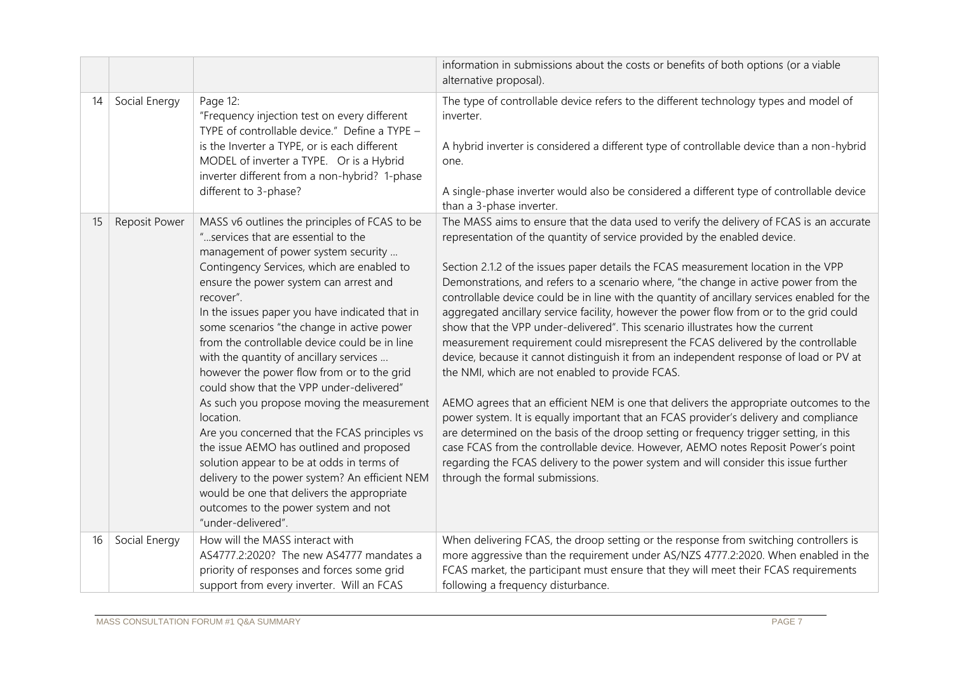|    |               |                                                                                                                                                                                                                                                                                                                                                                                                                                                                                                                                                                                                                                                                                                                                                                                                                                                                                           | information in submissions about the costs or benefits of both options (or a viable<br>alternative proposal).                                                                                                                                                                                                                                                                                                                                                                                                                                                                                                                                                                                                                                                                                                                                                                                                                                                                                                                                                                                                                                                                                                                                                                                                                                                  |
|----|---------------|-------------------------------------------------------------------------------------------------------------------------------------------------------------------------------------------------------------------------------------------------------------------------------------------------------------------------------------------------------------------------------------------------------------------------------------------------------------------------------------------------------------------------------------------------------------------------------------------------------------------------------------------------------------------------------------------------------------------------------------------------------------------------------------------------------------------------------------------------------------------------------------------|----------------------------------------------------------------------------------------------------------------------------------------------------------------------------------------------------------------------------------------------------------------------------------------------------------------------------------------------------------------------------------------------------------------------------------------------------------------------------------------------------------------------------------------------------------------------------------------------------------------------------------------------------------------------------------------------------------------------------------------------------------------------------------------------------------------------------------------------------------------------------------------------------------------------------------------------------------------------------------------------------------------------------------------------------------------------------------------------------------------------------------------------------------------------------------------------------------------------------------------------------------------------------------------------------------------------------------------------------------------|
| 14 | Social Energy | Page 12:<br>"Frequency injection test on every different<br>TYPE of controllable device." Define a TYPE -<br>is the Inverter a TYPE, or is each different<br>MODEL of inverter a TYPE. Or is a Hybrid<br>inverter different from a non-hybrid? 1-phase<br>different to 3-phase?                                                                                                                                                                                                                                                                                                                                                                                                                                                                                                                                                                                                           | The type of controllable device refers to the different technology types and model of<br>inverter.<br>A hybrid inverter is considered a different type of controllable device than a non-hybrid<br>one.<br>A single-phase inverter would also be considered a different type of controllable device<br>than a 3-phase inverter.                                                                                                                                                                                                                                                                                                                                                                                                                                                                                                                                                                                                                                                                                                                                                                                                                                                                                                                                                                                                                                |
| 15 | Reposit Power | MASS v6 outlines the principles of FCAS to be<br>"services that are essential to the<br>management of power system security<br>Contingency Services, which are enabled to<br>ensure the power system can arrest and<br>recover".<br>In the issues paper you have indicated that in<br>some scenarios "the change in active power<br>from the controllable device could be in line<br>with the quantity of ancillary services<br>however the power flow from or to the grid<br>could show that the VPP under-delivered"<br>As such you propose moving the measurement<br>location.<br>Are you concerned that the FCAS principles vs<br>the issue AEMO has outlined and proposed<br>solution appear to be at odds in terms of<br>delivery to the power system? An efficient NEM<br>would be one that delivers the appropriate<br>outcomes to the power system and not<br>"under-delivered". | The MASS aims to ensure that the data used to verify the delivery of FCAS is an accurate<br>representation of the quantity of service provided by the enabled device.<br>Section 2.1.2 of the issues paper details the FCAS measurement location in the VPP<br>Demonstrations, and refers to a scenario where, "the change in active power from the<br>controllable device could be in line with the quantity of ancillary services enabled for the<br>aggregated ancillary service facility, however the power flow from or to the grid could<br>show that the VPP under-delivered". This scenario illustrates how the current<br>measurement requirement could misrepresent the FCAS delivered by the controllable<br>device, because it cannot distinguish it from an independent response of load or PV at<br>the NMI, which are not enabled to provide FCAS.<br>AEMO agrees that an efficient NEM is one that delivers the appropriate outcomes to the<br>power system. It is equally important that an FCAS provider's delivery and compliance<br>are determined on the basis of the droop setting or frequency trigger setting, in this<br>case FCAS from the controllable device. However, AEMO notes Reposit Power's point<br>regarding the FCAS delivery to the power system and will consider this issue further<br>through the formal submissions. |
| 16 | Social Energy | How will the MASS interact with<br>AS4777.2:2020? The new AS4777 mandates a<br>priority of responses and forces some grid<br>support from every inverter. Will an FCAS                                                                                                                                                                                                                                                                                                                                                                                                                                                                                                                                                                                                                                                                                                                    | When delivering FCAS, the droop setting or the response from switching controllers is<br>more aggressive than the requirement under AS/NZS 4777.2:2020. When enabled in the<br>FCAS market, the participant must ensure that they will meet their FCAS requirements<br>following a frequency disturbance.                                                                                                                                                                                                                                                                                                                                                                                                                                                                                                                                                                                                                                                                                                                                                                                                                                                                                                                                                                                                                                                      |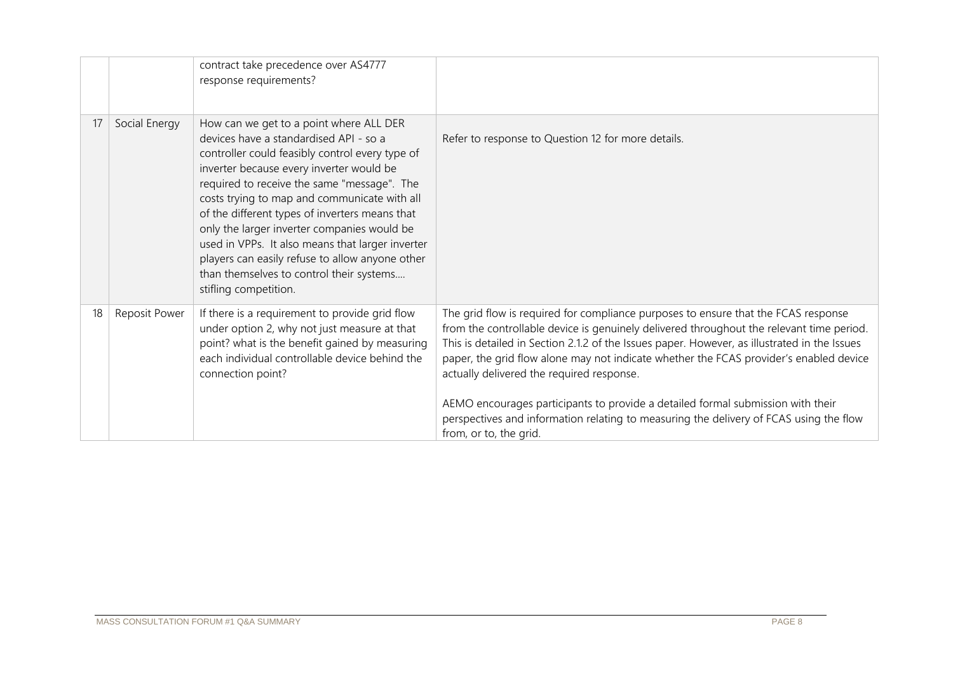|    |               | contract take precedence over AS4777<br>response requirements?                                                                                                                                                                                                                                                                                                                                                                                                                                                                                               |                                                                                                                                                                                                                                                                                                                                                                                                                                                                                                                                                                                                                              |
|----|---------------|--------------------------------------------------------------------------------------------------------------------------------------------------------------------------------------------------------------------------------------------------------------------------------------------------------------------------------------------------------------------------------------------------------------------------------------------------------------------------------------------------------------------------------------------------------------|------------------------------------------------------------------------------------------------------------------------------------------------------------------------------------------------------------------------------------------------------------------------------------------------------------------------------------------------------------------------------------------------------------------------------------------------------------------------------------------------------------------------------------------------------------------------------------------------------------------------------|
| 17 | Social Energy | How can we get to a point where ALL DER<br>devices have a standardised API - so a<br>controller could feasibly control every type of<br>inverter because every inverter would be<br>required to receive the same "message". The<br>costs trying to map and communicate with all<br>of the different types of inverters means that<br>only the larger inverter companies would be<br>used in VPPs. It also means that larger inverter<br>players can easily refuse to allow anyone other<br>than themselves to control their systems<br>stifling competition. | Refer to response to Question 12 for more details.                                                                                                                                                                                                                                                                                                                                                                                                                                                                                                                                                                           |
| 18 | Reposit Power | If there is a requirement to provide grid flow<br>under option 2, why not just measure at that<br>point? what is the benefit gained by measuring<br>each individual controllable device behind the<br>connection point?                                                                                                                                                                                                                                                                                                                                      | The grid flow is required for compliance purposes to ensure that the FCAS response<br>from the controllable device is genuinely delivered throughout the relevant time period.<br>This is detailed in Section 2.1.2 of the Issues paper. However, as illustrated in the Issues<br>paper, the grid flow alone may not indicate whether the FCAS provider's enabled device<br>actually delivered the required response.<br>AEMO encourages participants to provide a detailed formal submission with their<br>perspectives and information relating to measuring the delivery of FCAS using the flow<br>from, or to, the grid. |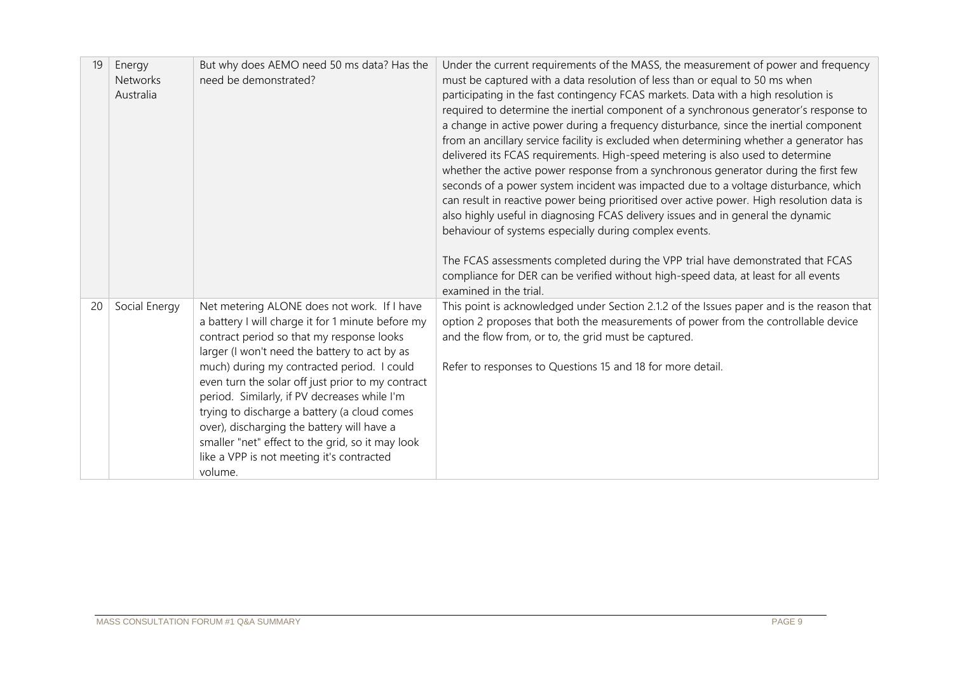| 19 | Energy<br><b>Networks</b><br>Australia | But why does AEMO need 50 ms data? Has the<br>need be demonstrated?                                                                                                                                                                                                                                                                                                                                                                                                                                                                                         | Under the current requirements of the MASS, the measurement of power and frequency<br>must be captured with a data resolution of less than or equal to 50 ms when<br>participating in the fast contingency FCAS markets. Data with a high resolution is<br>required to determine the inertial component of a synchronous generator's response to<br>a change in active power during a frequency disturbance, since the inertial component<br>from an ancillary service facility is excluded when determining whether a generator has<br>delivered its FCAS requirements. High-speed metering is also used to determine<br>whether the active power response from a synchronous generator during the first few<br>seconds of a power system incident was impacted due to a voltage disturbance, which<br>can result in reactive power being prioritised over active power. High resolution data is<br>also highly useful in diagnosing FCAS delivery issues and in general the dynamic<br>behaviour of systems especially during complex events.<br>The FCAS assessments completed during the VPP trial have demonstrated that FCAS<br>compliance for DER can be verified without high-speed data, at least for all events<br>examined in the trial. |
|----|----------------------------------------|-------------------------------------------------------------------------------------------------------------------------------------------------------------------------------------------------------------------------------------------------------------------------------------------------------------------------------------------------------------------------------------------------------------------------------------------------------------------------------------------------------------------------------------------------------------|-----------------------------------------------------------------------------------------------------------------------------------------------------------------------------------------------------------------------------------------------------------------------------------------------------------------------------------------------------------------------------------------------------------------------------------------------------------------------------------------------------------------------------------------------------------------------------------------------------------------------------------------------------------------------------------------------------------------------------------------------------------------------------------------------------------------------------------------------------------------------------------------------------------------------------------------------------------------------------------------------------------------------------------------------------------------------------------------------------------------------------------------------------------------------------------------------------------------------------------------------------|
| 20 | Social Energy                          | Net metering ALONE does not work. If I have<br>a battery I will charge it for 1 minute before my<br>contract period so that my response looks<br>larger (I won't need the battery to act by as<br>much) during my contracted period. I could<br>even turn the solar off just prior to my contract<br>period. Similarly, if PV decreases while I'm<br>trying to discharge a battery (a cloud comes<br>over), discharging the battery will have a<br>smaller "net" effect to the grid, so it may look<br>like a VPP is not meeting it's contracted<br>volume. | This point is acknowledged under Section 2.1.2 of the Issues paper and is the reason that<br>option 2 proposes that both the measurements of power from the controllable device<br>and the flow from, or to, the grid must be captured.<br>Refer to responses to Questions 15 and 18 for more detail.                                                                                                                                                                                                                                                                                                                                                                                                                                                                                                                                                                                                                                                                                                                                                                                                                                                                                                                                               |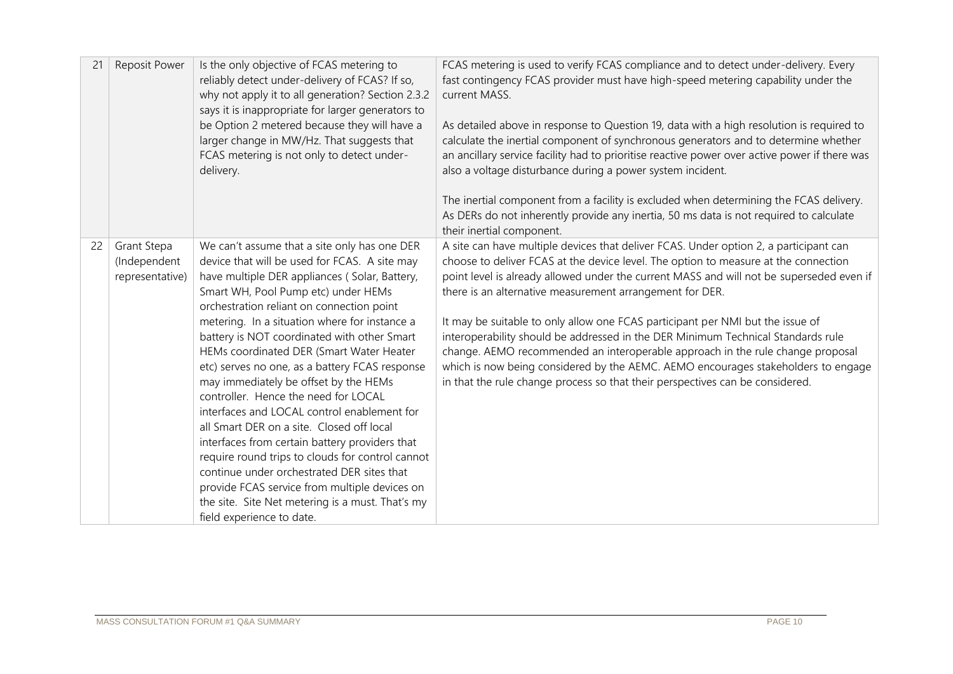| 21 | Reposit Power                                         | Is the only objective of FCAS metering to<br>reliably detect under-delivery of FCAS? If so,<br>why not apply it to all generation? Section 2.3.2<br>says it is inappropriate for larger generators to<br>be Option 2 metered because they will have a<br>larger change in MW/Hz. That suggests that<br>FCAS metering is not only to detect under-<br>delivery.                                                                                                                                                                                                                                                                                                                                                                                                                                                                                                                                      | FCAS metering is used to verify FCAS compliance and to detect under-delivery. Every<br>fast contingency FCAS provider must have high-speed metering capability under the<br>current MASS.<br>As detailed above in response to Question 19, data with a high resolution is required to<br>calculate the inertial component of synchronous generators and to determine whether<br>an ancillary service facility had to prioritise reactive power over active power if there was<br>also a voltage disturbance during a power system incident.<br>The inertial component from a facility is excluded when determining the FCAS delivery.<br>As DERs do not inherently provide any inertia, 50 ms data is not required to calculate<br>their inertial component.       |
|----|-------------------------------------------------------|-----------------------------------------------------------------------------------------------------------------------------------------------------------------------------------------------------------------------------------------------------------------------------------------------------------------------------------------------------------------------------------------------------------------------------------------------------------------------------------------------------------------------------------------------------------------------------------------------------------------------------------------------------------------------------------------------------------------------------------------------------------------------------------------------------------------------------------------------------------------------------------------------------|--------------------------------------------------------------------------------------------------------------------------------------------------------------------------------------------------------------------------------------------------------------------------------------------------------------------------------------------------------------------------------------------------------------------------------------------------------------------------------------------------------------------------------------------------------------------------------------------------------------------------------------------------------------------------------------------------------------------------------------------------------------------|
| 22 | <b>Grant Stepa</b><br>(Independent<br>representative) | We can't assume that a site only has one DER<br>device that will be used for FCAS. A site may<br>have multiple DER appliances (Solar, Battery,<br>Smart WH, Pool Pump etc) under HEMs<br>orchestration reliant on connection point<br>metering. In a situation where for instance a<br>battery is NOT coordinated with other Smart<br>HEMs coordinated DER (Smart Water Heater<br>etc) serves no one, as a battery FCAS response<br>may immediately be offset by the HEMs<br>controller. Hence the need for LOCAL<br>interfaces and LOCAL control enablement for<br>all Smart DER on a site. Closed off local<br>interfaces from certain battery providers that<br>require round trips to clouds for control cannot<br>continue under orchestrated DER sites that<br>provide FCAS service from multiple devices on<br>the site. Site Net metering is a must. That's my<br>field experience to date. | A site can have multiple devices that deliver FCAS. Under option 2, a participant can<br>choose to deliver FCAS at the device level. The option to measure at the connection<br>point level is already allowed under the current MASS and will not be superseded even if<br>there is an alternative measurement arrangement for DER.<br>It may be suitable to only allow one FCAS participant per NMI but the issue of<br>interoperability should be addressed in the DER Minimum Technical Standards rule<br>change. AEMO recommended an interoperable approach in the rule change proposal<br>which is now being considered by the AEMC. AEMO encourages stakeholders to engage<br>in that the rule change process so that their perspectives can be considered. |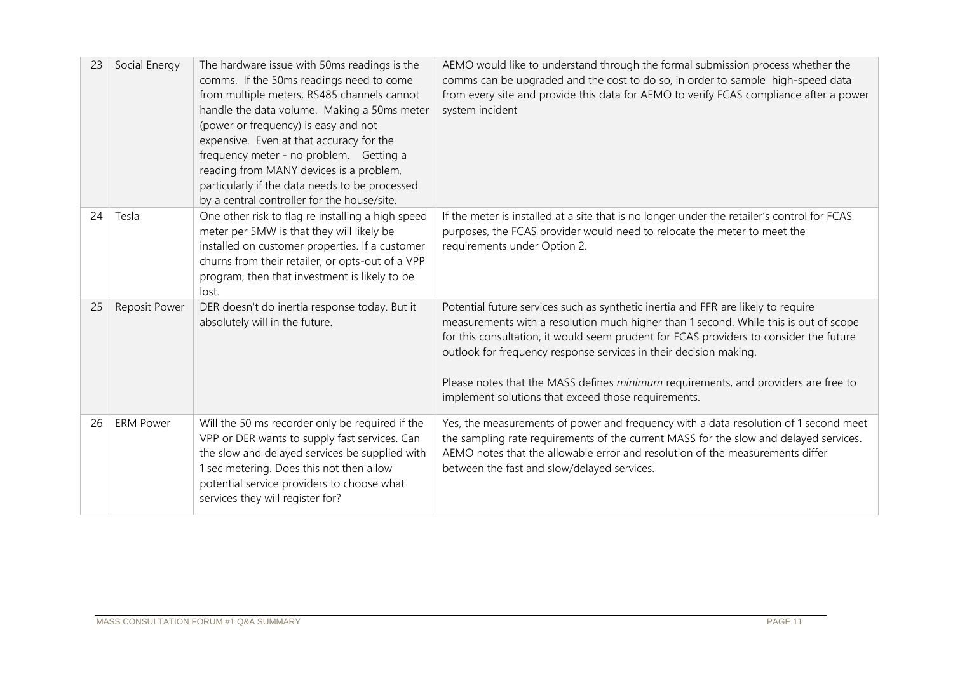| 23 | Social Energy        | The hardware issue with 50ms readings is the<br>comms. If the 50ms readings need to come<br>from multiple meters, RS485 channels cannot<br>handle the data volume. Making a 50ms meter<br>(power or frequency) is easy and not<br>expensive. Even at that accuracy for the<br>frequency meter - no problem. Getting a<br>reading from MANY devices is a problem,<br>particularly if the data needs to be processed<br>by a central controller for the house/site. | AEMO would like to understand through the formal submission process whether the<br>comms can be upgraded and the cost to do so, in order to sample high-speed data<br>from every site and provide this data for AEMO to verify FCAS compliance after a power<br>system incident                                                                                                                                                                                                       |
|----|----------------------|-------------------------------------------------------------------------------------------------------------------------------------------------------------------------------------------------------------------------------------------------------------------------------------------------------------------------------------------------------------------------------------------------------------------------------------------------------------------|---------------------------------------------------------------------------------------------------------------------------------------------------------------------------------------------------------------------------------------------------------------------------------------------------------------------------------------------------------------------------------------------------------------------------------------------------------------------------------------|
| 24 | Tesla                | One other risk to flag re installing a high speed<br>meter per 5MW is that they will likely be<br>installed on customer properties. If a customer<br>churns from their retailer, or opts-out of a VPP<br>program, then that investment is likely to be<br>lost.                                                                                                                                                                                                   | If the meter is installed at a site that is no longer under the retailer's control for FCAS<br>purposes, the FCAS provider would need to relocate the meter to meet the<br>requirements under Option 2.                                                                                                                                                                                                                                                                               |
| 25 | <b>Reposit Power</b> | DER doesn't do inertia response today. But it<br>absolutely will in the future.                                                                                                                                                                                                                                                                                                                                                                                   | Potential future services such as synthetic inertia and FFR are likely to require<br>measurements with a resolution much higher than 1 second. While this is out of scope<br>for this consultation, it would seem prudent for FCAS providers to consider the future<br>outlook for frequency response services in their decision making.<br>Please notes that the MASS defines minimum requirements, and providers are free to<br>implement solutions that exceed those requirements. |
| 26 | <b>ERM Power</b>     | Will the 50 ms recorder only be required if the<br>VPP or DER wants to supply fast services. Can<br>the slow and delayed services be supplied with<br>1 sec metering. Does this not then allow<br>potential service providers to choose what<br>services they will register for?                                                                                                                                                                                  | Yes, the measurements of power and frequency with a data resolution of 1 second meet<br>the sampling rate requirements of the current MASS for the slow and delayed services.<br>AEMO notes that the allowable error and resolution of the measurements differ<br>between the fast and slow/delayed services.                                                                                                                                                                         |